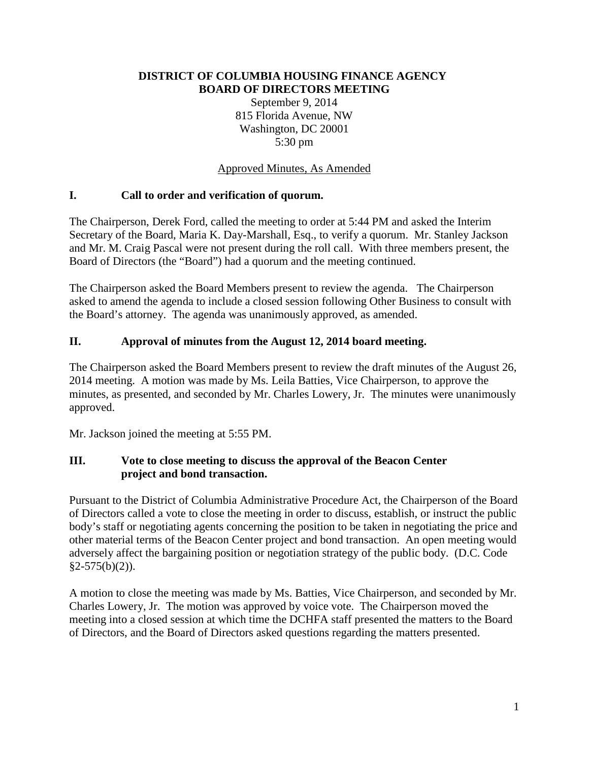#### **DISTRICT OF COLUMBIA HOUSING FINANCE AGENCY BOARD OF DIRECTORS MEETING**

September 9, 2014 815 Florida Avenue, NW Washington, DC 20001 5:30 pm

#### Approved Minutes, As Amended

#### **I. Call to order and verification of quorum.**

The Chairperson, Derek Ford, called the meeting to order at 5:44 PM and asked the Interim Secretary of the Board, Maria K. Day-Marshall, Esq., to verify a quorum. Mr. Stanley Jackson and Mr. M. Craig Pascal were not present during the roll call. With three members present, the Board of Directors (the "Board") had a quorum and the meeting continued.

The Chairperson asked the Board Members present to review the agenda. The Chairperson asked to amend the agenda to include a closed session following Other Business to consult with the Board's attorney. The agenda was unanimously approved, as amended.

#### **II. Approval of minutes from the August 12, 2014 board meeting.**

The Chairperson asked the Board Members present to review the draft minutes of the August 26, 2014 meeting. A motion was made by Ms. Leila Batties, Vice Chairperson, to approve the minutes, as presented, and seconded by Mr. Charles Lowery, Jr. The minutes were unanimously approved.

Mr. Jackson joined the meeting at 5:55 PM.

### **III. Vote to close meeting to discuss the approval of the Beacon Center project and bond transaction.**

Pursuant to the District of Columbia Administrative Procedure Act, the Chairperson of the Board of Directors called a vote to close the meeting in order to discuss, establish, or instruct the public body's staff or negotiating agents concerning the position to be taken in negotiating the price and other material terms of the Beacon Center project and bond transaction. An open meeting would adversely affect the bargaining position or negotiation strategy of the public body. (D.C. Code  $§2-575(b)(2)$ ).

A motion to close the meeting was made by Ms. Batties, Vice Chairperson, and seconded by Mr. Charles Lowery, Jr. The motion was approved by voice vote. The Chairperson moved the meeting into a closed session at which time the DCHFA staff presented the matters to the Board of Directors, and the Board of Directors asked questions regarding the matters presented.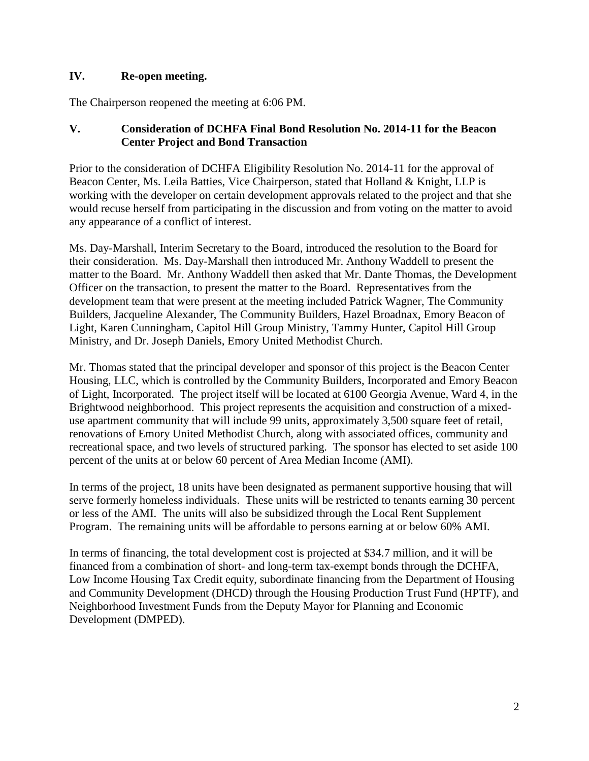#### **IV. Re-open meeting.**

The Chairperson reopened the meeting at 6:06 PM.

#### **V. Consideration of DCHFA Final Bond Resolution No. 2014-11 for the Beacon Center Project and Bond Transaction**

Prior to the consideration of DCHFA Eligibility Resolution No. 2014-11 for the approval of Beacon Center, Ms. Leila Batties, Vice Chairperson, stated that Holland & Knight, LLP is working with the developer on certain development approvals related to the project and that she would recuse herself from participating in the discussion and from voting on the matter to avoid any appearance of a conflict of interest.

Ms. Day-Marshall, Interim Secretary to the Board, introduced the resolution to the Board for their consideration. Ms. Day-Marshall then introduced Mr. Anthony Waddell to present the matter to the Board. Mr. Anthony Waddell then asked that Mr. Dante Thomas, the Development Officer on the transaction, to present the matter to the Board. Representatives from the development team that were present at the meeting included Patrick Wagner, The Community Builders, Jacqueline Alexander, The Community Builders, Hazel Broadnax, Emory Beacon of Light, Karen Cunningham, Capitol Hill Group Ministry, Tammy Hunter, Capitol Hill Group Ministry, and Dr. Joseph Daniels, Emory United Methodist Church.

Mr. Thomas stated that the principal developer and sponsor of this project is the Beacon Center Housing, LLC, which is controlled by the Community Builders, Incorporated and Emory Beacon of Light, Incorporated. The project itself will be located at 6100 Georgia Avenue, Ward 4, in the Brightwood neighborhood. This project represents the acquisition and construction of a mixeduse apartment community that will include 99 units, approximately 3,500 square feet of retail, renovations of Emory United Methodist Church, along with associated offices, community and recreational space, and two levels of structured parking. The sponsor has elected to set aside 100 percent of the units at or below 60 percent of Area Median Income (AMI).

In terms of the project, 18 units have been designated as permanent supportive housing that will serve formerly homeless individuals. These units will be restricted to tenants earning 30 percent or less of the AMI. The units will also be subsidized through the Local Rent Supplement Program. The remaining units will be affordable to persons earning at or below 60% AMI.

In terms of financing, the total development cost is projected at \$34.7 million, and it will be financed from a combination of short- and long-term tax-exempt bonds through the DCHFA, Low Income Housing Tax Credit equity, subordinate financing from the Department of Housing and Community Development (DHCD) through the Housing Production Trust Fund (HPTF), and Neighborhood Investment Funds from the Deputy Mayor for Planning and Economic Development (DMPED).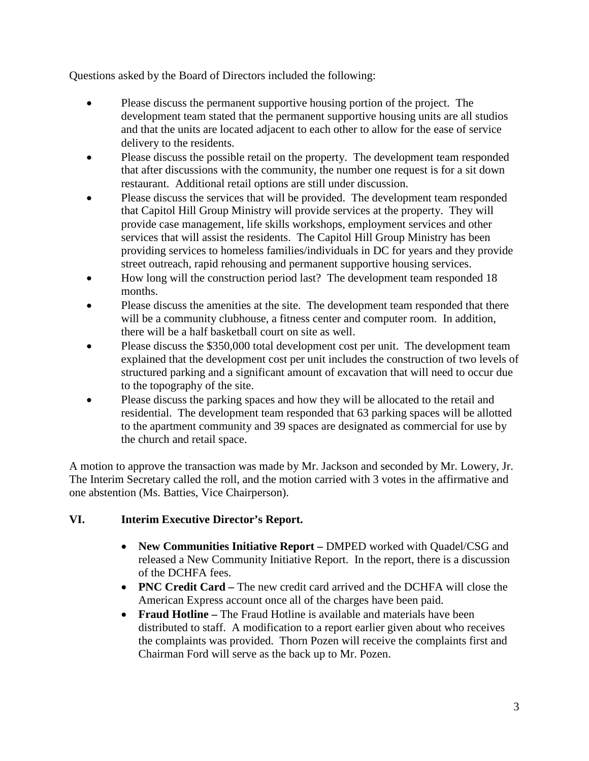Questions asked by the Board of Directors included the following:

- Please discuss the permanent supportive housing portion of the project. The development team stated that the permanent supportive housing units are all studios and that the units are located adjacent to each other to allow for the ease of service delivery to the residents.
- Please discuss the possible retail on the property. The development team responded that after discussions with the community, the number one request is for a sit down restaurant. Additional retail options are still under discussion.
- Please discuss the services that will be provided. The development team responded that Capitol Hill Group Ministry will provide services at the property. They will provide case management, life skills workshops, employment services and other services that will assist the residents. The Capitol Hill Group Ministry has been providing services to homeless families/individuals in DC for years and they provide street outreach, rapid rehousing and permanent supportive housing services.
- How long will the construction period last? The development team responded 18 months.
- Please discuss the amenities at the site. The development team responded that there will be a community clubhouse, a fitness center and computer room. In addition, there will be a half basketball court on site as well.
- Please discuss the \$350,000 total development cost per unit. The development team explained that the development cost per unit includes the construction of two levels of structured parking and a significant amount of excavation that will need to occur due to the topography of the site.
- Please discuss the parking spaces and how they will be allocated to the retail and residential. The development team responded that 63 parking spaces will be allotted to the apartment community and 39 spaces are designated as commercial for use by the church and retail space.

A motion to approve the transaction was made by Mr. Jackson and seconded by Mr. Lowery, Jr. The Interim Secretary called the roll, and the motion carried with 3 votes in the affirmative and one abstention (Ms. Batties, Vice Chairperson).

# **VI. Interim Executive Director's Report.**

- **New Communities Initiative Report –** DMPED worked with Quadel/CSG and released a New Community Initiative Report. In the report, there is a discussion of the DCHFA fees.
- **PNC Credit Card –** The new credit card arrived and the DCHFA will close the American Express account once all of the charges have been paid.
- **Fraud Hotline –** The Fraud Hotline is available and materials have been distributed to staff. A modification to a report earlier given about who receives the complaints was provided. Thorn Pozen will receive the complaints first and Chairman Ford will serve as the back up to Mr. Pozen.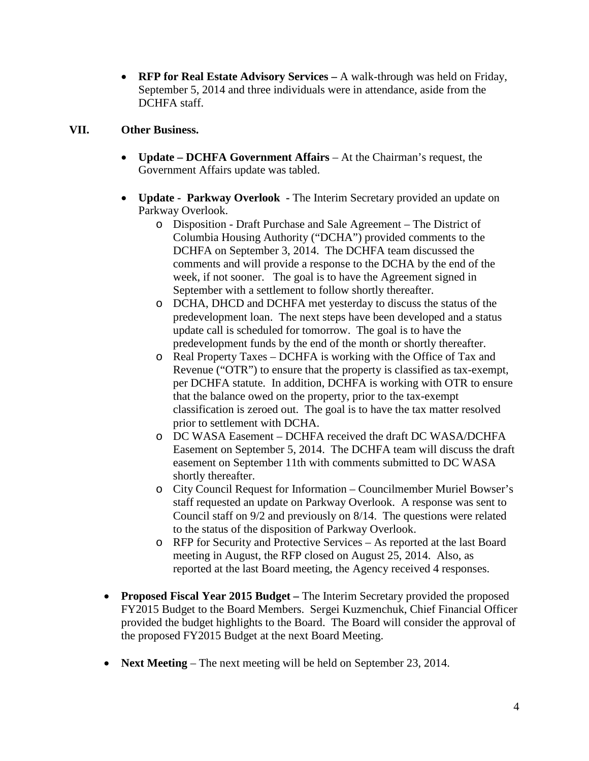• **RFP for Real Estate Advisory Services –** A walk-through was held on Friday, September 5, 2014 and three individuals were in attendance, aside from the DCHFA staff.

### **VII. Other Business.**

- **Update – DCHFA Government Affairs** At the Chairman's request, the Government Affairs update was tabled.
- **Update Parkway Overlook -** The Interim Secretary provided an update on Parkway Overlook.
	- o Disposition Draft Purchase and Sale Agreement The District of Columbia Housing Authority ("DCHA") provided comments to the DCHFA on September 3, 2014. The DCHFA team discussed the comments and will provide a response to the DCHA by the end of the week, if not sooner. The goal is to have the Agreement signed in September with a settlement to follow shortly thereafter.
	- o DCHA, DHCD and DCHFA met yesterday to discuss the status of the predevelopment loan. The next steps have been developed and a status update call is scheduled for tomorrow. The goal is to have the predevelopment funds by the end of the month or shortly thereafter.
	- o Real Property Taxes DCHFA is working with the Office of Tax and Revenue ("OTR") to ensure that the property is classified as tax-exempt, per DCHFA statute. In addition, DCHFA is working with OTR to ensure that the balance owed on the property, prior to the tax-exempt classification is zeroed out. The goal is to have the tax matter resolved prior to settlement with DCHA.
	- o DC WASA Easement DCHFA received the draft DC WASA/DCHFA Easement on September 5, 2014. The DCHFA team will discuss the draft easement on September 11th with comments submitted to DC WASA shortly thereafter.
	- o City Council Request for Information Councilmember Muriel Bowser's staff requested an update on Parkway Overlook. A response was sent to Council staff on 9/2 and previously on 8/14. The questions were related to the status of the disposition of Parkway Overlook.
	- o RFP for Security and Protective Services As reported at the last Board meeting in August, the RFP closed on August 25, 2014. Also, as reported at the last Board meeting, the Agency received 4 responses.
- **Proposed Fiscal Year 2015 Budget –** The Interim Secretary provided the proposed FY2015 Budget to the Board Members. Sergei Kuzmenchuk, Chief Financial Officer provided the budget highlights to the Board. The Board will consider the approval of the proposed FY2015 Budget at the next Board Meeting.
- **Next Meeting** The next meeting will be held on September 23, 2014.